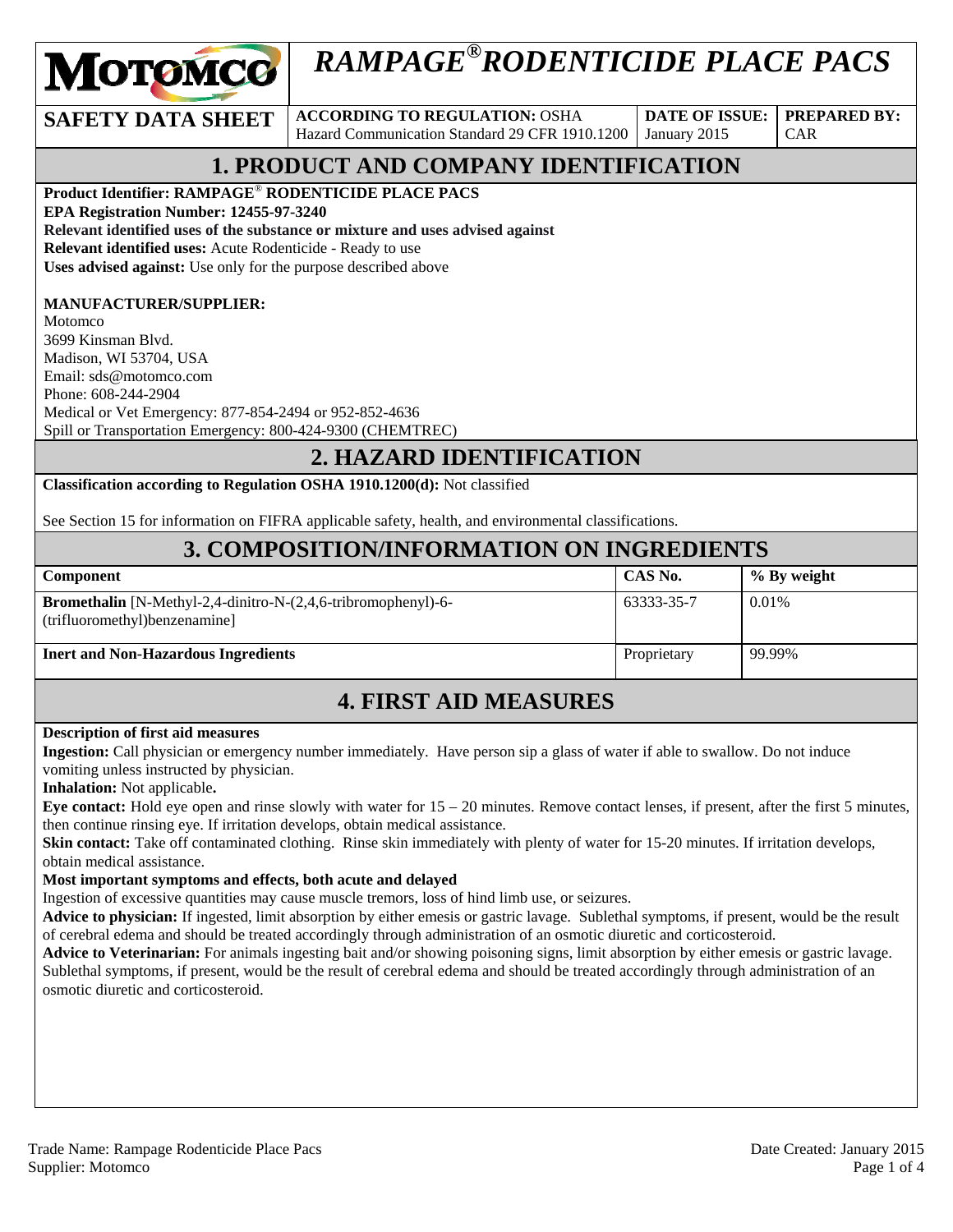

# *RAMPAGE®RODENTICIDE PLACE PACS*

**SAFETY DATA SHEET** ACCORDING TO REGULATION: OSHA Hazard Communication Standard 29 CFR 1910.1200

**DATE OF ISSUE:**  January 2015

CAR

**PREPARED BY:** 

## **1. PRODUCT AND COMPANY IDENTIFICATION**

**Product Identifier: RAMPAGE**® **RODENTICIDE PLACE PACS** 

**EPA Registration Number: 12455-97-3240** 

**Relevant identified uses of the substance or mixture and uses advised against Relevant identified uses:** Acute Rodenticide - Ready to use

**Uses advised against:** Use only for the purpose described above

#### **MANUFACTURER/SUPPLIER:**

Motomco 3699 Kinsman Blvd. Madison, WI 53704, USA Email: sds@motomco.com Phone: 608-244-2904 Medical or Vet Emergency: 877-854-2494 or 952-852-4636 Spill or Transportation Emergency: 800-424-9300 (CHEMTREC)

#### **2. HAZARD IDENTIFICATION**

**Classification according to Regulation OSHA 1910.1200(d):** Not classified

See Section 15 for information on FIFRA applicable safety, health, and environmental classifications.

#### **3. COMPOSITION/INFORMATION ON INGREDIENTS**

| Component                                                                                                | CAS No.     | % By weight |
|----------------------------------------------------------------------------------------------------------|-------------|-------------|
| <b>Bromethalin</b> [N-Methyl-2,4-dinitro-N- $(2,4,6$ -tribromophenyl)-6-<br>(trifluoromethyl)benzenamine | 63333-35-7  | 0.01%       |
| <b>Inert and Non-Hazardous Ingredients</b>                                                               | Proprietary | 99.99%      |

## **4. FIRST AID MEASURES**

#### **Description of first aid measures**

**Ingestion:** Call physician or emergency number immediately. Have person sip a glass of water if able to swallow. Do not induce vomiting unless instructed by physician.

**Inhalation:** Not applicable**.** 

**Eye contact:** Hold eye open and rinse slowly with water for 15 – 20 minutes. Remove contact lenses, if present, after the first 5 minutes, then continue rinsing eye. If irritation develops, obtain medical assistance.

**Skin contact:** Take off contaminated clothing. Rinse skin immediately with plenty of water for 15-20 minutes. If irritation develops, obtain medical assistance.

#### **Most important symptoms and effects, both acute and delayed**

Ingestion of excessive quantities may cause muscle tremors, loss of hind limb use, or seizures.

**Advice to physician:** If ingested, limit absorption by either emesis or gastric lavage. Sublethal symptoms, if present, would be the result of cerebral edema and should be treated accordingly through administration of an osmotic diuretic and corticosteroid.

**Advice to Veterinarian:** For animals ingesting bait and/or showing poisoning signs, limit absorption by either emesis or gastric lavage. Sublethal symptoms, if present, would be the result of cerebral edema and should be treated accordingly through administration of an osmotic diuretic and corticosteroid.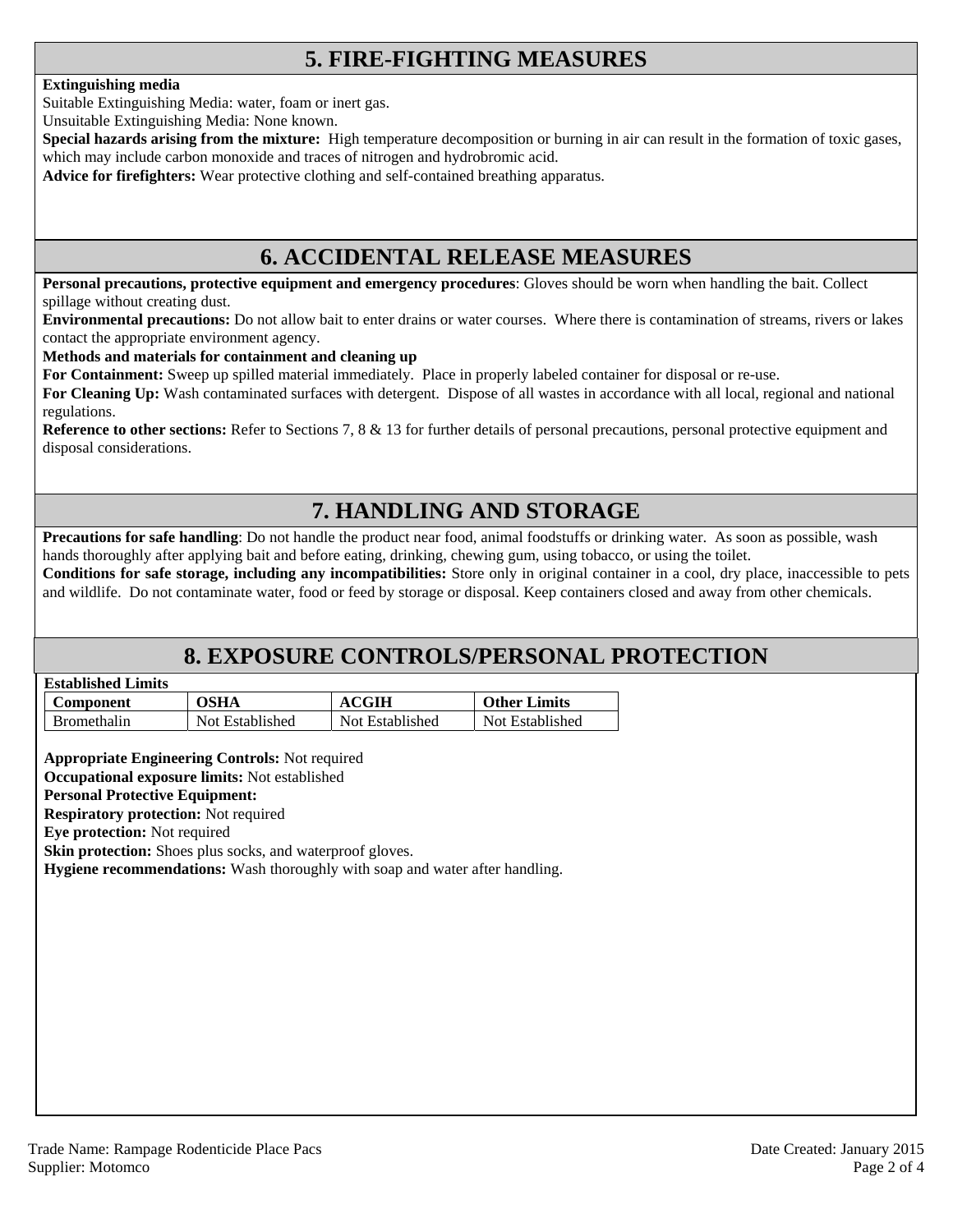## **5. FIRE-FIGHTING MEASURES**

#### **Extinguishing media**

Suitable Extinguishing Media: water, foam or inert gas.

Unsuitable Extinguishing Media: None known.

**Special hazards arising from the mixture:** High temperature decomposition or burning in air can result in the formation of toxic gases, which may include carbon monoxide and traces of nitrogen and hydrobromic acid.

**Advice for firefighters:** Wear protective clothing and self-contained breathing apparatus.

#### **6. ACCIDENTAL RELEASE MEASURES**

**Personal precautions, protective equipment and emergency procedures**: Gloves should be worn when handling the bait. Collect spillage without creating dust.

**Environmental precautions:** Do not allow bait to enter drains or water courses. Where there is contamination of streams, rivers or lakes contact the appropriate environment agency.

#### **Methods and materials for containment and cleaning up**

**For Containment:** Sweep up spilled material immediately. Place in properly labeled container for disposal or re-use.

**For Cleaning Up:** Wash contaminated surfaces with detergent. Dispose of all wastes in accordance with all local, regional and national regulations.

**Reference to other sections:** Refer to Sections 7, 8 & 13 for further details of personal precautions, personal protective equipment and disposal considerations.

## **7. HANDLING AND STORAGE**

**Precautions for safe handling**: Do not handle the product near food, animal foodstuffs or drinking water. As soon as possible, wash hands thoroughly after applying bait and before eating, drinking, chewing gum, using tobacco, or using the toilet.

**Conditions for safe storage, including any incompatibilities:** Store only in original container in a cool, dry place, inaccessible to pets and wildlife. Do not contaminate water, food or feed by storage or disposal. Keep containers closed and away from other chemicals.

### **8. EXPOSURE CONTROLS/PERSONAL PROTECTION**

| <b>Established Limits</b> |  |
|---------------------------|--|
|                           |  |

| <b>Component</b>   | <b>OSHA</b>     | 7GIH            | <b>Other Limits</b> |
|--------------------|-----------------|-----------------|---------------------|
| <b>Bromethalin</b> | Not Established | Not Established | Not Established     |

**Appropriate Engineering Controls:** Not required

**Occupational exposure limits:** Not established

#### **Personal Protective Equipment:**

**Respiratory protection:** Not required

**Eye protection:** Not required

**Skin protection:** Shoes plus socks, and waterproof gloves.

**Hygiene recommendations:** Wash thoroughly with soap and water after handling.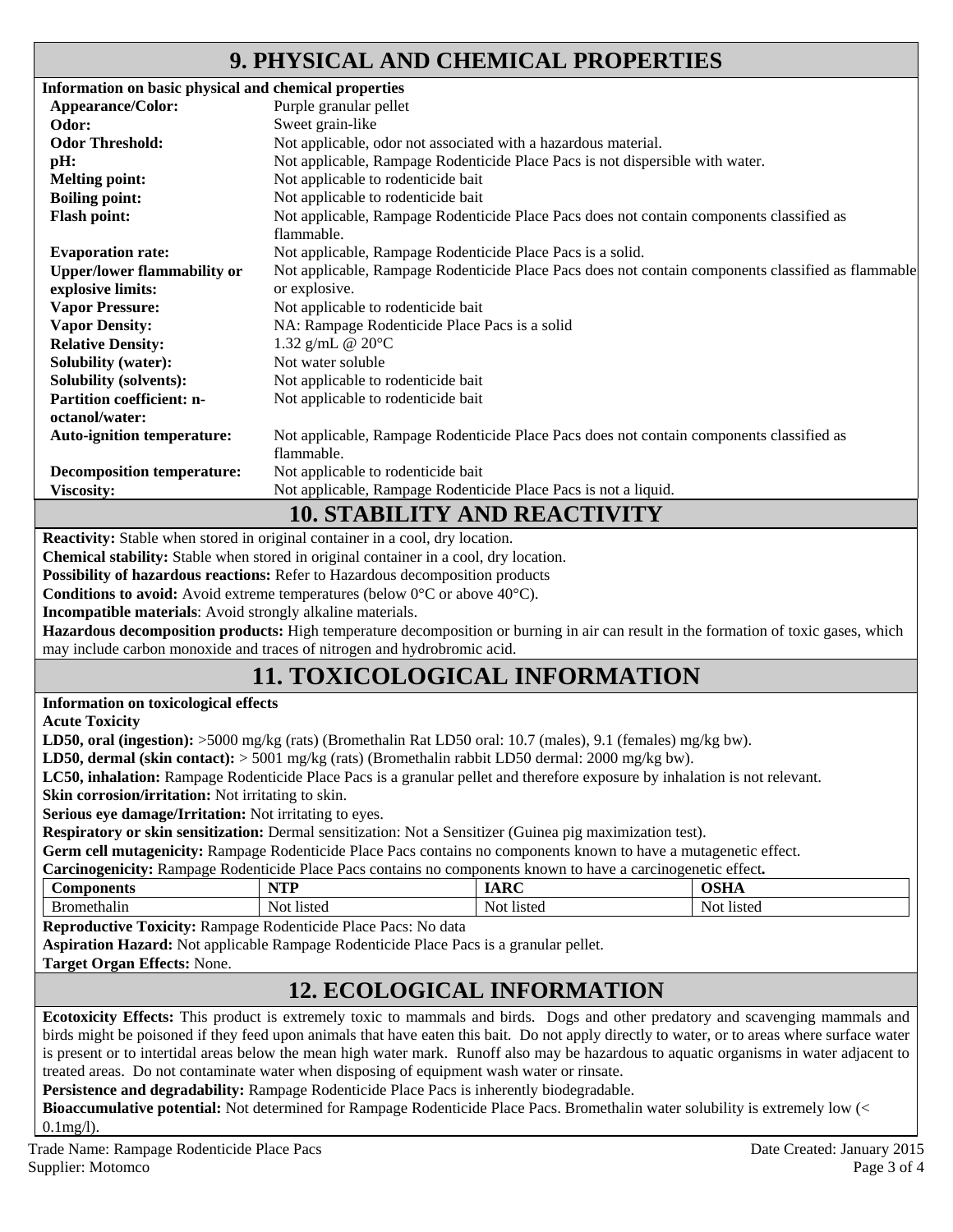## **9. PHYSICAL AND CHEMICAL PROPERTIES**

| Information on basic physical and chemical properties |                                                                                                    |
|-------------------------------------------------------|----------------------------------------------------------------------------------------------------|
| Appearance/Color:                                     | Purple granular pellet                                                                             |
| Odor:                                                 | Sweet grain-like                                                                                   |
| <b>Odor Threshold:</b>                                | Not applicable, odor not associated with a hazardous material.                                     |
| pH:                                                   | Not applicable, Rampage Rodenticide Place Pacs is not dispersible with water.                      |
| <b>Melting point:</b>                                 | Not applicable to rodenticide bait                                                                 |
| <b>Boiling point:</b>                                 | Not applicable to rodenticide bait                                                                 |
| <b>Flash point:</b>                                   | Not applicable, Rampage Rodenticide Place Pacs does not contain components classified as           |
|                                                       | flammable.                                                                                         |
| <b>Evaporation rate:</b>                              | Not applicable, Rampage Rodenticide Place Pacs is a solid.                                         |
| <b>Upper/lower flammability or</b>                    | Not applicable, Rampage Rodenticide Place Pacs does not contain components classified as flammable |
| explosive limits:                                     | or explosive.                                                                                      |
| <b>Vapor Pressure:</b>                                | Not applicable to rodenticide bait                                                                 |
| <b>Vapor Density:</b>                                 | NA: Rampage Rodenticide Place Pacs is a solid                                                      |
| <b>Relative Density:</b>                              | 1.32 g/mL @ $20^{\circ}$ C                                                                         |
| <b>Solubility (water):</b>                            | Not water soluble                                                                                  |
| <b>Solubility (solvents):</b>                         | Not applicable to rodenticide bait                                                                 |
| <b>Partition coefficient: n-</b>                      | Not applicable to rodenticide bait                                                                 |
| octanol/water:                                        |                                                                                                    |
| <b>Auto-ignition temperature:</b>                     | Not applicable, Rampage Rodenticide Place Pacs does not contain components classified as           |
|                                                       | flammable.                                                                                         |
| <b>Decomposition temperature:</b>                     | Not applicable to rodenticide bait                                                                 |
| <b>Viscosity:</b>                                     | Not applicable, Rampage Rodenticide Place Pacs is not a liquid.                                    |
|                                                       | <b>10. STABILITY AND REACTIVITY</b>                                                                |
|                                                       | Reactivity: Stable when stored in original container in a cool, dry location.                      |
| $\sim$ $\sim$ $\sim$ $\sim$ $\sim$                    |                                                                                                    |

**Chemical stability:** Stable when stored in original container in a cool, dry location.

**Possibility of hazardous reactions:** Refer to Hazardous decomposition products

**Conditions to avoid:** Avoid extreme temperatures (below 0°C or above 40°C).

**Incompatible materials**: Avoid strongly alkaline materials.

**Hazardous decomposition products:** High temperature decomposition or burning in air can result in the formation of toxic gases, which may include carbon monoxide and traces of nitrogen and hydrobromic acid.

## **11. TOXICOLOGICAL INFORMATION**

**Information on toxicological effects** 

**Acute Toxicity** 

**LD50, oral (ingestion):** >5000 mg/kg (rats) (Bromethalin Rat LD50 oral: 10.7 (males), 9.1 (females) mg/kg bw).

**LD50, dermal (skin contact):** > 5001 mg/kg (rats) (Bromethalin rabbit LD50 dermal: 2000 mg/kg bw).

**LC50, inhalation:** Rampage Rodenticide Place Pacs is a granular pellet and therefore exposure by inhalation is not relevant.

**Skin corrosion/irritation:** Not irritating to skin.

**Serious eye damage/Irritation:** Not irritating to eyes.

**Respiratory or skin sensitization:** Dermal sensitization: Not a Sensitizer (Guinea pig maximization test).

**Germ cell mutagenicity:** Rampage Rodenticide Place Pacs contains no components known to have a mutagenetic effect.

| <b>Carcinogenicity:</b> Rampage Rodenticide Place Pacs contains no components known to have a carcinogenetic effect. |            |             |             |
|----------------------------------------------------------------------------------------------------------------------|------------|-------------|-------------|
| <b>Components</b>                                                                                                    | NTP<br>.   | <b>IARC</b> | <b>OSHA</b> |
| Bromethalin                                                                                                          | Not listed | Not listed  | Not listed  |

**Reproductive Toxicity:** Rampage Rodenticide Place Pacs: No data

**Aspiration Hazard:** Not applicable Rampage Rodenticide Place Pacs is a granular pellet.

**Target Organ Effects:** None.

## **12. ECOLOGICAL INFORMATION**

**Ecotoxicity Effects:** This product is extremely toxic to mammals and birds. Dogs and other predatory and scavenging mammals and birds might be poisoned if they feed upon animals that have eaten this bait. Do not apply directly to water, or to areas where surface water is present or to intertidal areas below the mean high water mark. Runoff also may be hazardous to aquatic organisms in water adjacent to treated areas. Do not contaminate water when disposing of equipment wash water or rinsate.

**Persistence and degradability:** Rampage Rodenticide Place Pacs is inherently biodegradable.

**Bioaccumulative potential:** Not determined for Rampage Rodenticide Place Pacs. Bromethalin water solubility is extremely low (< 0.1mg/l).